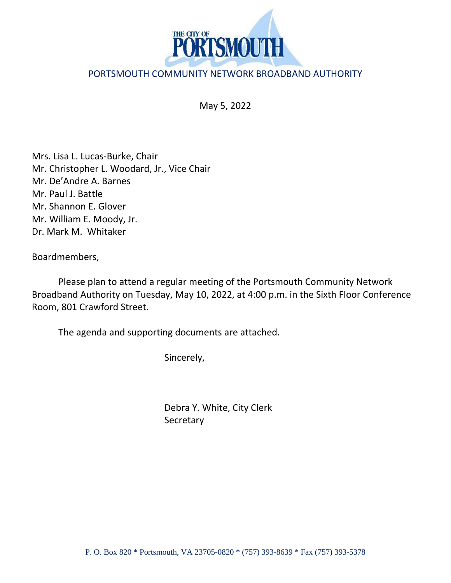

## PORTSMOUTH COMMUNITY NETWORK BROADBAND AUTHORITY

May 5, 2022

Mrs. Lisa L. Lucas-Burke, Chair Mr. Christopher L. Woodard, Jr., Vice Chair Mr. De'Andre A. Barnes Mr. Paul J. Battle Mr. Shannon E. Glover Mr. William E. Moody, Jr. Dr. Mark M. Whitaker

Boardmembers,

Please plan to attend a regular meeting of the Portsmouth Community Network Broadband Authority on Tuesday, May 10, 2022, at 4:00 p.m. in the Sixth Floor Conference Room, 801 Crawford Street.

The agenda and supporting documents are attached.

Sincerely,

Debra Y. White, City Clerk **Secretary**